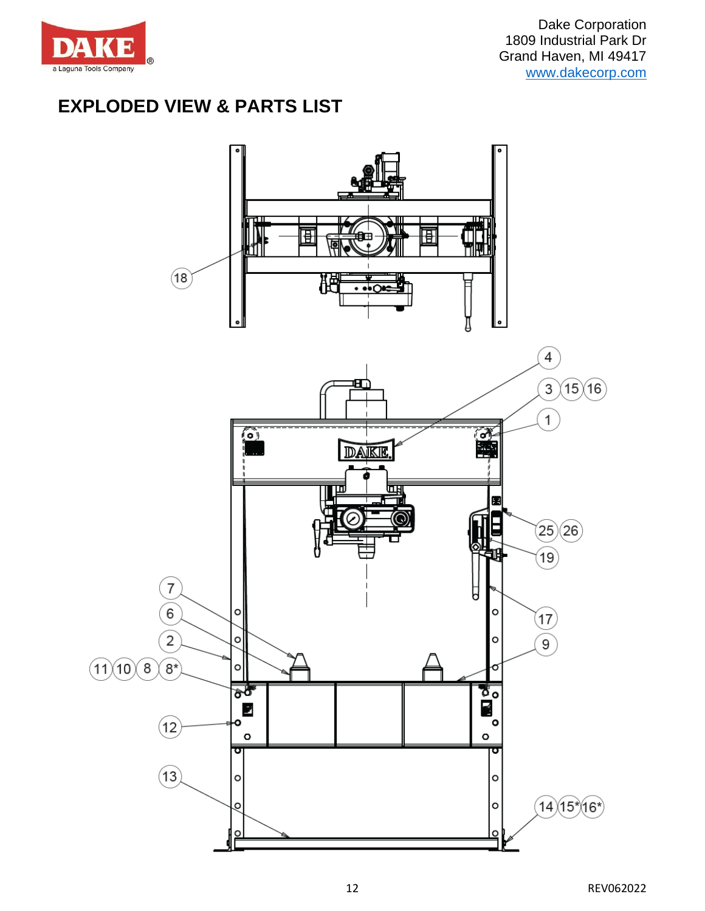

## **EXPLODED VIEW & PARTS LIST**

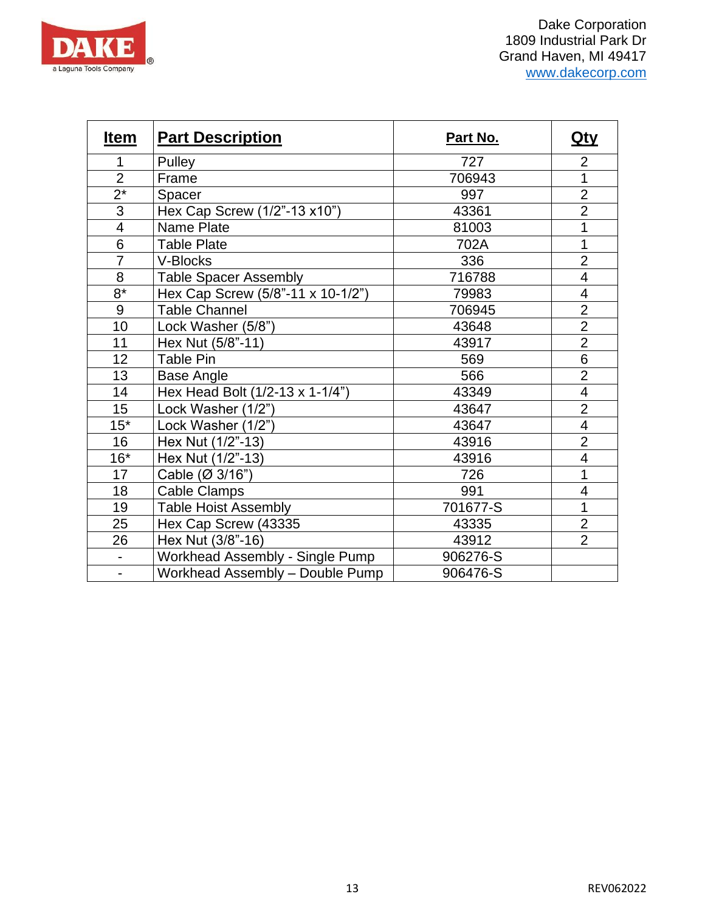

| <u>Item</u>              | <b>Part Description</b>           | Part No. | <u>Qty</u>              |
|--------------------------|-----------------------------------|----------|-------------------------|
| 1                        | Pulley                            | 727      | $\overline{2}$          |
| $\overline{2}$           | Frame                             | 706943   | $\overline{1}$          |
| $2^*$                    | Spacer                            | 997      | $\overline{2}$          |
| 3                        | Hex Cap Screw (1/2"-13 x10")      | 43361    | $\overline{2}$          |
| $\overline{4}$           | Name Plate                        | 81003    | $\overline{1}$          |
| 6                        | <b>Table Plate</b>                | 702A     | $\mathbf{1}$            |
| $\overline{7}$           | V-Blocks                          | 336      | $\overline{2}$          |
| 8                        | <b>Table Spacer Assembly</b>      | 716788   | $\overline{\mathbf{4}}$ |
| $8*$                     | Hex Cap Screw (5/8"-11 x 10-1/2") | 79983    | $\overline{\mathbf{4}}$ |
| 9                        | <b>Table Channel</b>              | 706945   | $\overline{2}$          |
| 10                       | Lock Washer (5/8")                | 43648    | $\overline{2}$          |
| 11                       | Hex Nut (5/8"-11)                 | 43917    | $\overline{2}$          |
| 12                       | Table Pin                         | 569      | $\overline{6}$          |
| 13                       | <b>Base Angle</b>                 | 566      | $\overline{2}$          |
| 14                       | Hex Head Bolt (1/2-13 x 1-1/4")   | 43349    | $\overline{4}$          |
| 15                       | Lock Washer (1/2")                | 43647    | $\overline{2}$          |
| $15*$                    | Lock Washer (1/2")                | 43647    | $\overline{\mathbf{4}}$ |
| 16                       | Hex Nut (1/2"-13)                 | 43916    | $\overline{2}$          |
| $16*$                    | Hex Nut (1/2"-13)                 | 43916    | $\overline{\mathbf{4}}$ |
| 17                       | Cable (Ø 3/16")                   | 726      | $\overline{1}$          |
| 18                       | Cable Clamps                      | 991      | $\overline{4}$          |
| 19                       | <b>Table Hoist Assembly</b>       | 701677-S | $\overline{1}$          |
| 25                       | Hex Cap Screw (43335              | 43335    | $\overline{2}$          |
| 26                       | Hex Nut (3/8"-16)                 | 43912    | $\overline{2}$          |
|                          | Workhead Assembly - Single Pump   | 906276-S |                         |
| $\overline{\phantom{0}}$ | Workhead Assembly - Double Pump   | 906476-S |                         |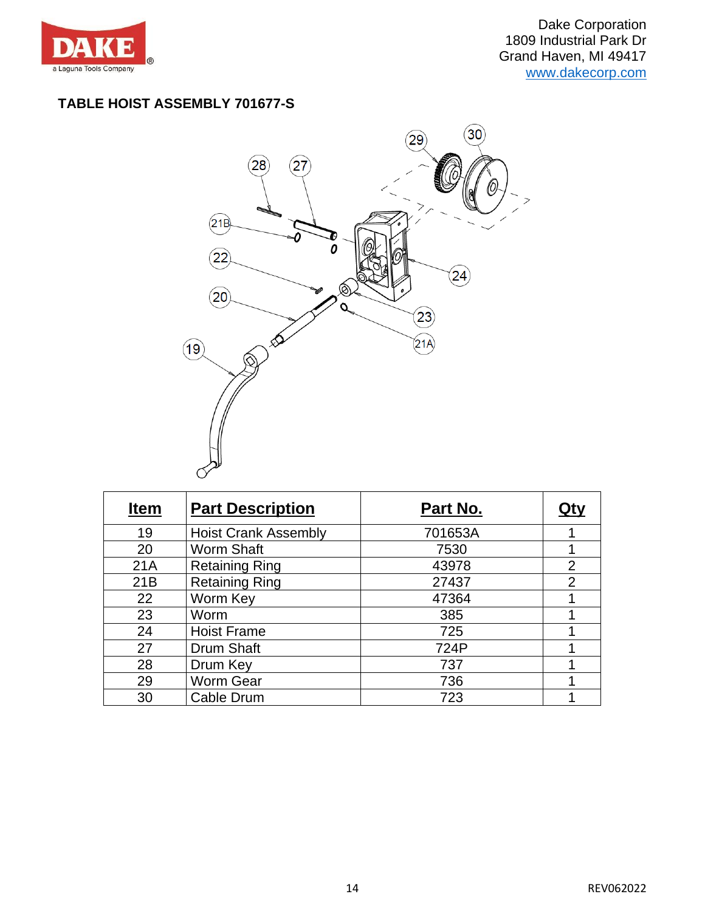

## **TABLE HOIST ASSEMBLY 701677-S**



| <b>Item</b> | <b>Part Description</b>     | Part No. |                |
|-------------|-----------------------------|----------|----------------|
| 19          | <b>Hoist Crank Assembly</b> | 701653A  |                |
| 20          | <b>Worm Shaft</b>           | 7530     |                |
| 21A         | <b>Retaining Ring</b>       | 43978    | 2              |
| 21B         | <b>Retaining Ring</b>       | 27437    | $\overline{2}$ |
| 22          | Worm Key                    | 47364    |                |
| 23          | Worm                        | 385      |                |
| 24          | <b>Hoist Frame</b>          | 725      |                |
| 27          | <b>Drum Shaft</b>           | 724P     |                |
| 28          | Drum Key                    | 737      |                |
| 29          | <b>Worm Gear</b>            | 736      |                |
| 30          | Cable Drum                  | 723      |                |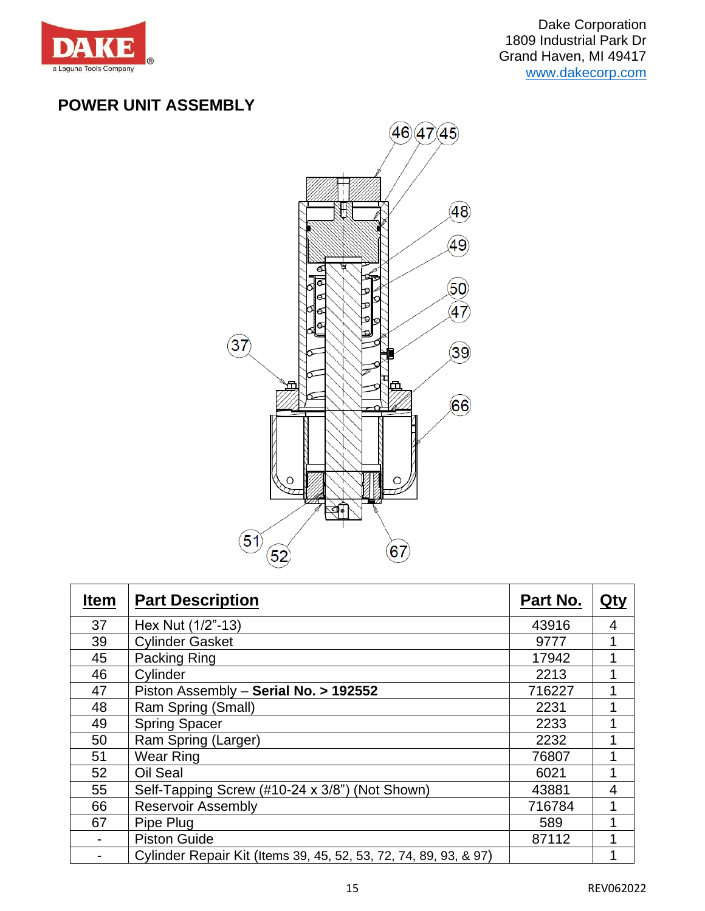

## **POWER UNIT ASSEMBLY**



| <b>Item</b> | <b>Part Description</b>                                          | Part No. | <u>Qty</u>              |
|-------------|------------------------------------------------------------------|----------|-------------------------|
| 37          | Hex Nut (1/2"-13)                                                | 43916    | $\overline{\mathbf{4}}$ |
| 39          | <b>Cylinder Gasket</b>                                           | 9777     |                         |
| 45          | Packing Ring                                                     | 17942    | 1                       |
| 46          | Cylinder                                                         | 2213     | 1                       |
| 47          | Piston Assembly - Serial No. > 192552                            | 716227   | 1                       |
| 48          | Ram Spring (Small)                                               | 2231     | 1                       |
| 49          | <b>Spring Spacer</b>                                             | 2233     |                         |
| 50          | Ram Spring (Larger)                                              | 2232     |                         |
| 51          | <b>Wear Ring</b>                                                 | 76807    | 1                       |
| 52          | Oil Seal                                                         | 6021     | 1                       |
| 55          | Self-Tapping Screw (#10-24 x 3/8") (Not Shown)                   | 43881    | 4                       |
| 66          | <b>Reservoir Assembly</b>                                        | 716784   |                         |
| 67          | Pipe Plug                                                        | 589      |                         |
|             | <b>Piston Guide</b>                                              | 87112    | 1                       |
|             | Cylinder Repair Kit (Items 39, 45, 52, 53, 72, 74, 89, 93, & 97) |          | 1                       |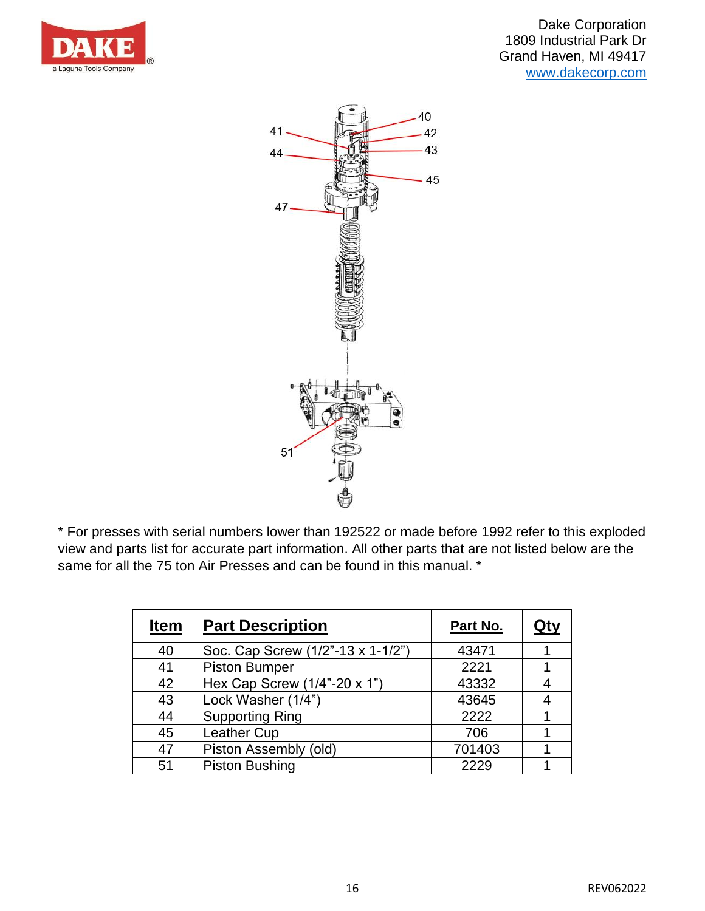



\* For presses with serial numbers lower than 192522 or made before 1992 refer to this exploded view and parts list for accurate part information. All other parts that are not listed below are the same for all the 75 ton Air Presses and can be found in this manual.  $*$ 

| <b>Item</b> | <b>Part Description</b>           | Part No. |  |
|-------------|-----------------------------------|----------|--|
| 40          | Soc. Cap Screw (1/2"-13 x 1-1/2") | 43471    |  |
| 41          | <b>Piston Bumper</b>              | 2221     |  |
| 42          | Hex Cap Screw (1/4"-20 x 1")      | 43332    |  |
| 43          | Lock Washer (1/4")                | 43645    |  |
| 44          | <b>Supporting Ring</b>            | 2222     |  |
| 45          | Leather Cup                       | 706      |  |
| 47          | Piston Assembly (old)             | 701403   |  |
| 51          | <b>Piston Bushing</b>             | 2229     |  |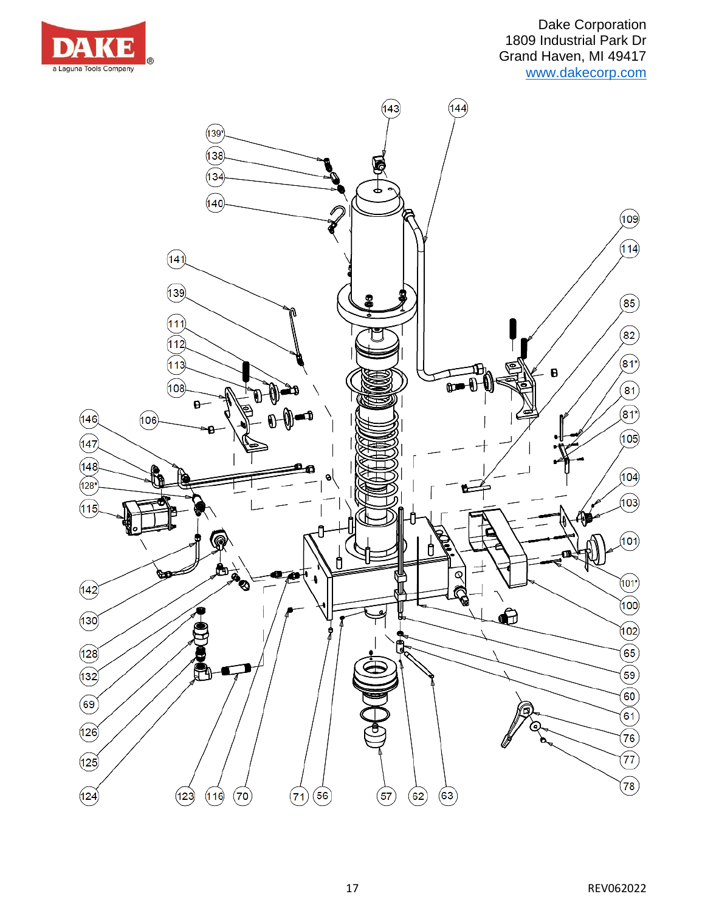

Dake Corporation 1809 Industrial Park Dr Grand Haven, MI 49417 [www.dakecorp.com](http://www.dakecorp.com/)

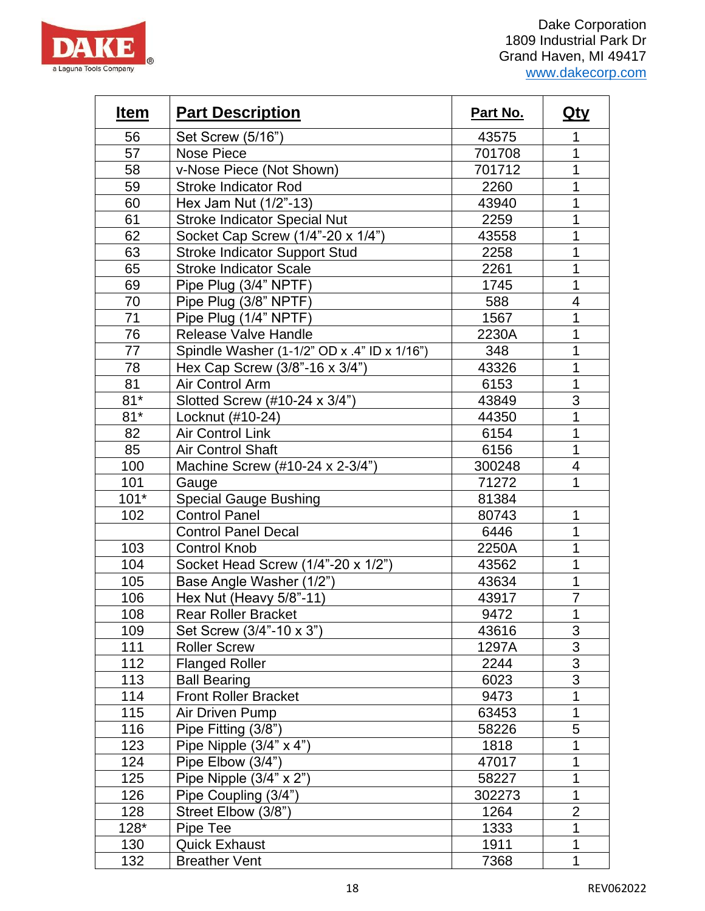

| <b>Item</b> | <b>Part Description</b>                     | <b>Part No.</b> | <u>Qty</u>     |
|-------------|---------------------------------------------|-----------------|----------------|
| 56          | Set Screw (5/16")                           | 43575           | 1              |
| 57          | <b>Nose Piece</b>                           | 701708          | 1              |
| 58          | v-Nose Piece (Not Shown)                    | 701712          | 1              |
| 59          | <b>Stroke Indicator Rod</b>                 | 2260            | 1              |
| 60          | Hex Jam Nut (1/2"-13)                       | 43940           | 1              |
| 61          | <b>Stroke Indicator Special Nut</b>         | 2259            | 1              |
| 62          | Socket Cap Screw (1/4"-20 x 1/4")           | 43558           | 1              |
| 63          | <b>Stroke Indicator Support Stud</b>        | 2258            | 1              |
| 65          | <b>Stroke Indicator Scale</b>               | 2261            | 1              |
| 69          | Pipe Plug (3/4" NPTF)                       | 1745            | 1              |
| 70          | Pipe Plug (3/8" NPTF)                       | 588             | 4              |
| 71          | Pipe Plug (1/4" NPTF)                       | 1567            | 1              |
| 76          | Release Valve Handle                        | 2230A           | 1              |
| 77          | Spindle Washer (1-1/2" OD x .4" ID x 1/16") | 348             | 1              |
| 78          | Hex Cap Screw (3/8"-16 x 3/4")              | 43326           | 1              |
| 81          | Air Control Arm                             | 6153            | 1              |
| $81*$       | Slotted Screw (#10-24 x 3/4")               | 43849           | $\overline{3}$ |
| $81*$       | Locknut (#10-24)                            | 44350           | 1              |
| 82          | <b>Air Control Link</b>                     | 6154            | 1              |
| 85          | <b>Air Control Shaft</b>                    | 6156            | 1              |
| 100         | Machine Screw (#10-24 x 2-3/4")             | 300248          | 4              |
| 101         | Gauge                                       | 71272           | 1              |
| $101*$      | <b>Special Gauge Bushing</b>                | 81384           |                |
| 102         | <b>Control Panel</b>                        | 80743           | 1              |
|             | <b>Control Panel Decal</b>                  | 6446            | 1              |
| 103         | <b>Control Knob</b>                         | 2250A           | 1              |
| 104         | Socket Head Screw (1/4"-20 x 1/2")          | 43562           | 1              |
| 105         | Base Angle Washer (1/2")                    | 43634           | 1              |
| 106         | Hex Nut (Heavy 5/8"-11)                     | 43917           | $\overline{7}$ |
| 108         | <b>Rear Roller Bracket</b>                  | 9472            | Ŧ              |
| 109         | Set Screw (3/4"-10 x 3")                    | 43616           | 3              |
| 111         | <b>Roller Screw</b>                         | 1297A           | 3              |
| 112         | <b>Flanged Roller</b>                       | 2244            | $\overline{3}$ |
| 113         | <b>Ball Bearing</b>                         | 6023            | 3              |
| 114         | <b>Front Roller Bracket</b>                 | 9473            | 1              |
| 115         | Air Driven Pump                             | 63453           | 1              |
| 116         | Pipe Fitting (3/8")                         | 58226           | 5              |
| 123         | Pipe Nipple (3/4" x 4")                     | 1818            | 1              |
| 124         | Pipe Elbow (3/4")                           | 47017           | 1              |
| 125         | Pipe Nipple (3/4" x 2")                     | 58227           | 1              |
| 126         | Pipe Coupling (3/4")                        | 302273          | 1              |
| 128         | Street Elbow (3/8")                         | 1264            | $\overline{2}$ |
| $128*$      | Pipe Tee                                    | 1333            | 1              |
| 130         | <b>Quick Exhaust</b>                        | 1911            | 1              |
| 132         | <b>Breather Vent</b>                        | 7368            | 1              |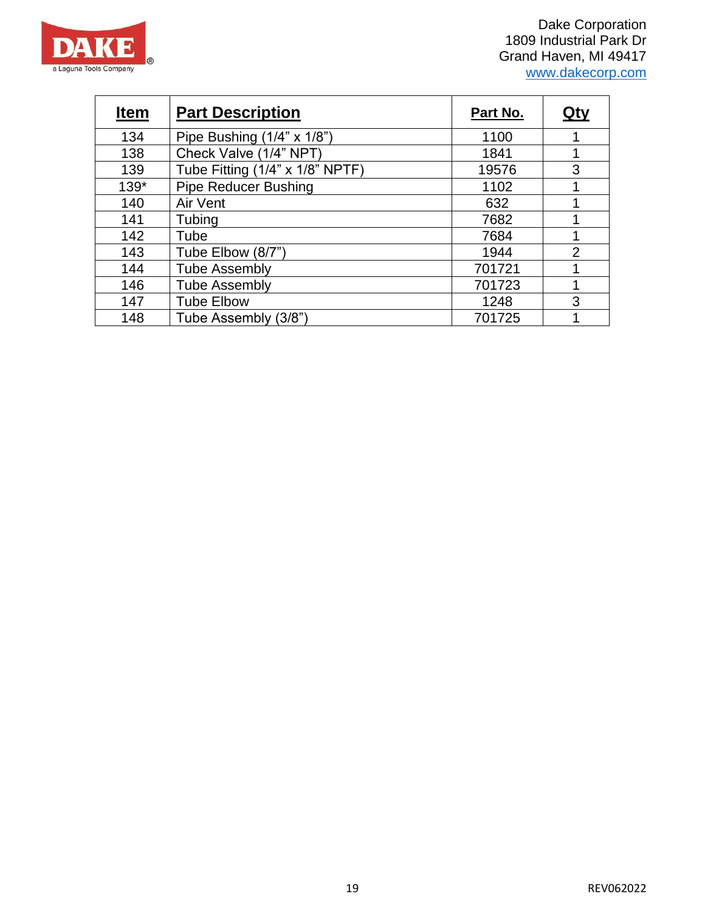

| <u>Item</u> | <b>Part Description</b>           | Part No. | <u>Qty</u>     |
|-------------|-----------------------------------|----------|----------------|
| 134         | Pipe Bushing $(1/4" \times 1/8")$ | 1100     |                |
| 138         | Check Valve (1/4" NPT)            | 1841     |                |
| 139         | Tube Fitting (1/4" x 1/8" NPTF)   | 19576    | 3              |
| $139*$      | <b>Pipe Reducer Bushing</b>       | 1102     |                |
| 140         | Air Vent                          | 632      |                |
| 141         | Tubing                            | 7682     |                |
| 142         | Tube                              | 7684     |                |
| 143         | Tube Elbow (8/7")                 | 1944     | $\overline{2}$ |
| 144         | <b>Tube Assembly</b>              | 701721   |                |
| 146         | <b>Tube Assembly</b>              | 701723   |                |
| 147         | <b>Tube Elbow</b>                 | 1248     | 3              |
| 148         | Tube Assembly (3/8")              | 701725   |                |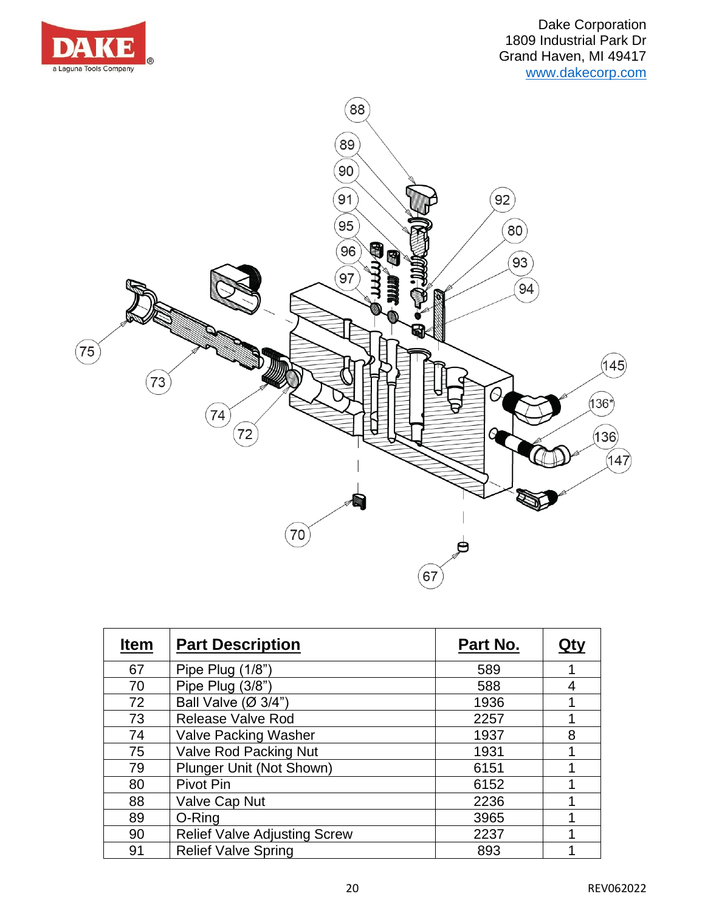



| <b>Item</b> | <b>Part Description</b>             | Part No. | Qty |
|-------------|-------------------------------------|----------|-----|
| 67          | Pipe Plug (1/8")                    | 589      | 1   |
| 70          | Pipe Plug (3/8")                    | 588      | 4   |
| 72          | Ball Valve $(\emptyset$ 3/4")       | 1936     | 1   |
| 73          | <b>Release Valve Rod</b>            | 2257     |     |
| 74          | Valve Packing Washer                | 1937     | 8   |
| 75          | <b>Valve Rod Packing Nut</b>        | 1931     | 1   |
| 79          | <b>Plunger Unit (Not Shown)</b>     | 6151     | 1   |
| 80          | <b>Pivot Pin</b>                    | 6152     | 1   |
| 88          | Valve Cap Nut                       | 2236     | 1   |
| 89          | O-Ring                              | 3965     |     |
| 90          | <b>Relief Valve Adjusting Screw</b> | 2237     | 1   |
| 91          | <b>Relief Valve Spring</b>          | 893      |     |